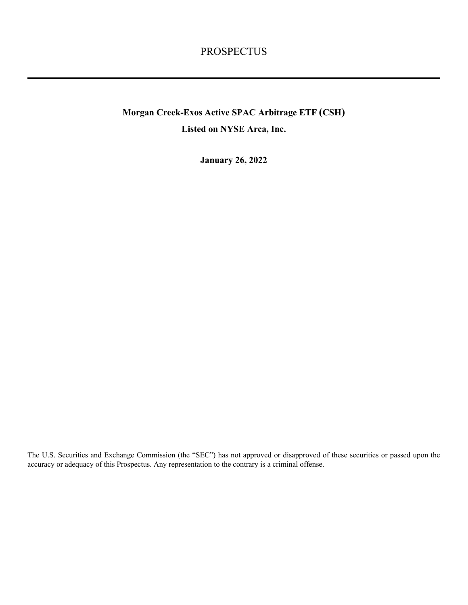# PROSPECTUS

# **Morgan Creek-Exos Active SPAC Arbitrage ETF (CSH) Listed on NYSE Arca, Inc.**

**January 26, 2022**

The U.S. Securities and Exchange Commission (the "SEC") has not approved or disapproved of these securities or passed upon the accuracy or adequacy of this Prospectus. Any representation to the contrary is a criminal offense.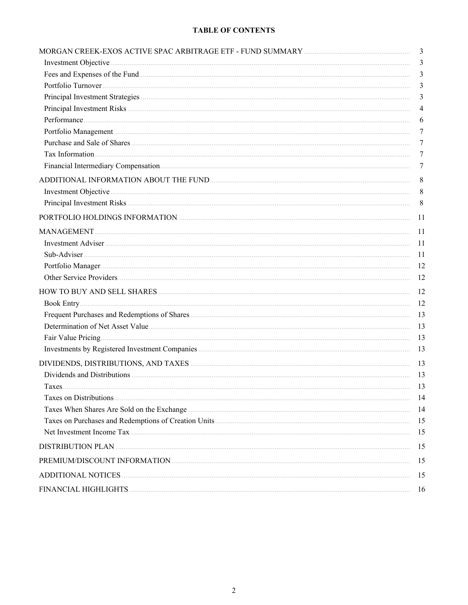## **TABLE OF CONTENTS**

|                                                                       | $\mathfrak{Z}$  |
|-----------------------------------------------------------------------|-----------------|
|                                                                       | $\mathfrak{Z}$  |
|                                                                       | 3               |
|                                                                       | $\mathfrak{Z}$  |
|                                                                       | 3               |
|                                                                       | $\overline{4}$  |
|                                                                       | 6               |
|                                                                       | 7               |
|                                                                       | 7               |
|                                                                       | 7               |
|                                                                       | 7               |
| ADDITIONAL INFORMATION ABOUT THE FUND <b>CONSUMING THE SET ASSESS</b> | $8\phantom{.0}$ |
|                                                                       | 8               |
|                                                                       | 8               |
|                                                                       | <sup>11</sup>   |
|                                                                       | 11              |
|                                                                       | -11             |
|                                                                       | -11             |
|                                                                       | -12             |
|                                                                       | 12              |
|                                                                       | 12              |
|                                                                       | -12             |
|                                                                       | 13              |
|                                                                       | 13              |
|                                                                       | 13              |
|                                                                       | 13              |
|                                                                       | 13              |
|                                                                       | 13              |
| $_{\rm{Tave}}$                                                        | 13              |
|                                                                       |                 |
|                                                                       | -14             |
|                                                                       | 15              |
|                                                                       | 15              |
|                                                                       | 15              |
|                                                                       | 15              |
|                                                                       | 15              |
|                                                                       | 16              |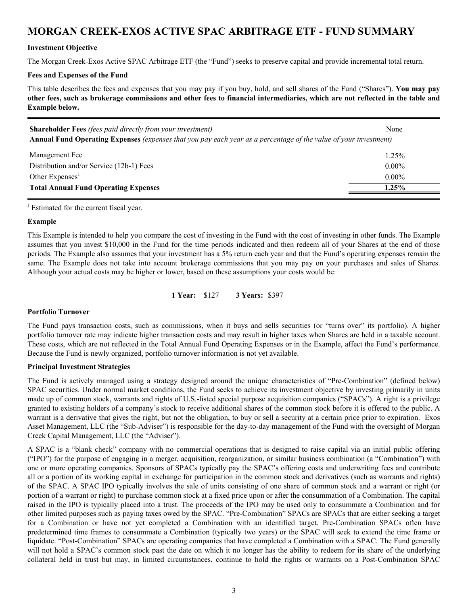# <span id="page-2-0"></span>**MORGAN CREEK-EXOS ACTIVE SPAC ARBITRAGE ETF - FUND SUMMARY**

## **Investment Objective**

The Morgan Creek-Exos Active SPAC Arbitrage ETF (the "Fund") seeks to preserve capital and provide incremental total return.

#### **Fees and Expenses of the Fund**

This table describes the fees and expenses that you may pay if you buy, hold, and sell shares of the Fund ("Shares"). **You may pay other fees, such as brokerage commissions and other fees to financial intermediaries, which are not reflected in the table and Example below.**

| <b>Shareholder Fees</b> (fees paid directly from your investment)                                                | None |
|------------------------------------------------------------------------------------------------------------------|------|
| Annual Fund Operating Expenses (expenses that you pay each year as a percentage of the value of your investment) |      |

| Management Fee                              | 1.25%    |
|---------------------------------------------|----------|
| Distribution and/or Service (12b-1) Fees    | $0.00\%$ |
| Other Expenses                              | $0.00\%$ |
| <b>Total Annual Fund Operating Expenses</b> | $1.25\%$ |

 $<sup>1</sup>$  Estimated for the current fiscal year.</sup>

#### **Example**

This Example is intended to help you compare the cost of investing in the Fund with the cost of investing in other funds. The Example assumes that you invest \$10,000 in the Fund for the time periods indicated and then redeem all of your Shares at the end of those periods. The Example also assumes that your investment has a 5% return each year and that the Fund's operating expenses remain the same. The Example does not take into account brokerage commissions that you may pay on your purchases and sales of Shares. Although your actual costs may be higher or lower, based on these assumptions your costs would be:

**1 Year:** \$127 **3 Years:** \$397

## **Portfolio Turnover**

The Fund pays transaction costs, such as commissions, when it buys and sells securities (or "turns over" its portfolio). A higher portfolio turnover rate may indicate higher transaction costs and may result in higher taxes when Shares are held in a taxable account. These costs, which are not reflected in the Total Annual Fund Operating Expenses or in the Example, affect the Fund's performance. Because the Fund is newly organized, portfolio turnover information is not yet available.

## **Principal Investment Strategies**

The Fund is actively managed using a strategy designed around the unique characteristics of "Pre-Combination" (defined below) SPAC securities. Under normal market conditions, the Fund seeks to achieve its investment objective by investing primarily in units made up of common stock, warrants and rights of U.S.-listed special purpose acquisition companies ("SPACs"). A right is a privilege granted to existing holders of a company's stock to receive additional shares of the common stock before it is offered to the public. A warrant is a derivative that gives the right, but not the obligation, to buy or sell a security at a certain price prior to expiration. Exos Asset Management, LLC (the "Sub-Adviser") is responsible for the day-to-day management of the Fund with the oversight of Morgan Creek Capital Management, LLC (the "Adviser").

A SPAC is a "blank check" company with no commercial operations that is designed to raise capital via an initial public offering ("IPO") for the purpose of engaging in a merger, acquisition, reorganization, or similar business combination (a "Combination") with one or more operating companies. Sponsors of SPACs typically pay the SPAC's offering costs and underwriting fees and contribute all or a portion of its working capital in exchange for participation in the common stock and derivatives (such as warrants and rights) of the SPAC. A SPAC IPO typically involves the sale of units consisting of one share of common stock and a warrant or right (or portion of a warrant or right) to purchase common stock at a fixed price upon or after the consummation of a Combination. The capital raised in the IPO is typically placed into a trust. The proceeds of the IPO may be used only to consummate a Combination and for other limited purposes such as paying taxes owed by the SPAC. "Pre-Combination" SPACs are SPACs that are either seeking a target for a Combination or have not yet completed a Combination with an identified target. Pre-Combination SPACs often have predetermined time frames to consummate a Combination (typically two years) or the SPAC will seek to extend the time frame or liquidate. "Post-Combination" SPACs are operating companies that have completed a Combination with a SPAC. The Fund generally will not hold a SPAC's common stock past the date on which it no longer has the ability to redeem for its share of the underlying collateral held in trust but may, in limited circumstances, continue to hold the rights or warrants on a Post-Combination SPAC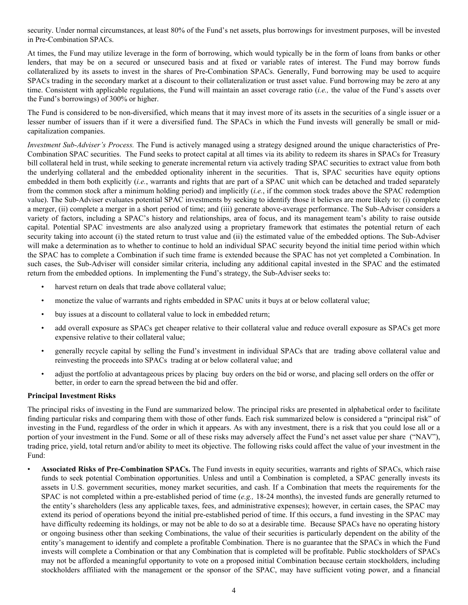<span id="page-3-0"></span>security. Under normal circumstances, at least 80% of the Fund's net assets, plus borrowings for investment purposes, will be invested in Pre-Combination SPACs.

At times, the Fund may utilize leverage in the form of borrowing, which would typically be in the form of loans from banks or other lenders, that may be on a secured or unsecured basis and at fixed or variable rates of interest. The Fund may borrow funds collateralized by its assets to invest in the shares of Pre-Combination SPACs. Generally, Fund borrowing may be used to acquire SPACs trading in the secondary market at a discount to their collateralization or trust asset value. Fund borrowing may be zero at any time. Consistent with applicable regulations, the Fund will maintain an asset coverage ratio (*i.e.,* the value of the Fund's assets over the Fund's borrowings) of 300% or higher.

The Fund is considered to be non-diversified, which means that it may invest more of its assets in the securities of a single issuer or a lesser number of issuers than if it were a diversified fund. The SPACs in which the Fund invests will generally be small or midcapitalization companies.

*Investment Sub-Adviser's Process.* The Fund is actively managed using a strategy designed around the unique characteristics of Pre-Combination SPAC securities. The Fund seeks to protect capital at all times via its ability to redeem its shares in SPACs for Treasury bill collateral held in trust, while seeking to generate incremental return via actively trading SPAC securities to extract value from both the underlying collateral and the embedded optionality inherent in the securities. That is, SPAC securities have equity options embedded in them both explicitly (*i.e.*, warrants and rights that are part of a SPAC unit which can be detached and traded separately from the common stock after a minimum holding period) and implicitly (*i.e.*, if the common stock trades above the SPAC redemption value). The Sub-Adviser evaluates potential SPAC investments by seeking to identify those it believes are more likely to: (i) complete a merger, (ii) complete a merger in a short period of time; and (iii) generate above-average performance. The Sub-Adviser considers a variety of factors, including a SPAC's history and relationships, area of focus, and its management team's ability to raise outside capital. Potential SPAC investments are also analyzed using a proprietary framework that estimates the potential return of each security taking into account (i) the stated return to trust value and (ii) the estimated value of the embedded options. The Sub-Adviser will make a determination as to whether to continue to hold an individual SPAC security beyond the initial time period within which the SPAC has to complete a Combination if such time frame is extended because the SPAC has not yet completed a Combination. In such cases, the Sub-Adviser will consider similar criteria, including any additional capital invested in the SPAC and the estimated return from the embedded options. In implementing the Fund's strategy, the Sub-Adviser seeks to:

- harvest return on deals that trade above collateral value;
- monetize the value of warrants and rights embedded in SPAC units it buys at or below collateral value;
- buy issues at a discount to collateral value to lock in embedded return;
- add overall exposure as SPACs get cheaper relative to their collateral value and reduce overall exposure as SPACs get more expensive relative to their collateral value;
- generally recycle capital by selling the Fund's investment in individual SPACs that are trading above collateral value and reinvesting the proceeds into SPACs trading at or below collateral value; and
- adjust the portfolio at advantageous prices by placing buy orders on the bid or worse, and placing sell orders on the offer or better, in order to earn the spread between the bid and offer.

#### **Principal Investment Risks**

The principal risks of investing in the Fund are summarized below. The principal risks are presented in alphabetical order to facilitate finding particular risks and comparing them with those of other funds. Each risk summarized below is considered a "principal risk" of investing in the Fund, regardless of the order in which it appears. As with any investment, there is a risk that you could lose all or a portion of your investment in the Fund. Some or all of these risks may adversely affect the Fund's net asset value per share ("NAV"), trading price, yield, total return and/or ability to meet its objective. The following risks could affect the value of your investment in the Fund:

• **Associated Risks of Pre-Combination SPACs.** The Fund invests in equity securities, warrants and rights of SPACs, which raise funds to seek potential Combination opportunities. Unless and until a Combination is completed, a SPAC generally invests its assets in U.S. government securities, money market securities, and cash. If a Combination that meets the requirements for the SPAC is not completed within a pre-established period of time (*e.g.,* 18-24 months), the invested funds are generally returned to the entity's shareholders (less any applicable taxes, fees, and administrative expenses); however, in certain cases, the SPAC may extend its period of operations beyond the initial pre-established period of time. If this occurs, a fund investing in the SPAC may have difficulty redeeming its holdings, or may not be able to do so at a desirable time. Because SPACs have no operating history or ongoing business other than seeking Combinations, the value of their securities is particularly dependent on the ability of the entity's management to identify and complete a profitable Combination. There is no guarantee that the SPACs in which the Fund invests will complete a Combination or that any Combination that is completed will be profitable. Public stockholders of SPACs may not be afforded a meaningful opportunity to vote on a proposed initial Combination because certain stockholders, including stockholders affiliated with the management or the sponsor of the SPAC, may have sufficient voting power, and a financial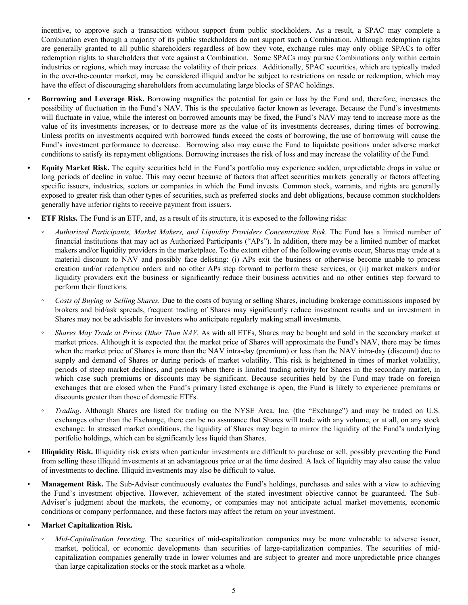incentive, to approve such a transaction without support from public stockholders. As a result, a SPAC may complete a Combination even though a majority of its public stockholders do not support such a Combination. Although redemption rights are generally granted to all public shareholders regardless of how they vote, exchange rules may only oblige SPACs to offer redemption rights to shareholders that vote against a Combination. Some SPACs may pursue Combinations only within certain industries or regions, which may increase the volatility of their prices. Additionally, SPAC securities, which are typically traded in the over-the-counter market, may be considered illiquid and/or be subject to restrictions on resale or redemption, which may have the effect of discouraging shareholders from accumulating large blocks of SPAC holdings.

- **Borrowing and Leverage Risk.** Borrowing magnifies the potential for gain or loss by the Fund and, therefore, increases the possibility of fluctuation in the Fund's NAV. This is the speculative factor known as leverage. Because the Fund's investments will fluctuate in value, while the interest on borrowed amounts may be fixed, the Fund's NAV may tend to increase more as the value of its investments increases, or to decrease more as the value of its investments decreases, during times of borrowing. Unless profits on investments acquired with borrowed funds exceed the costs of borrowing, the use of borrowing will cause the Fund's investment performance to decrease. Borrowing also may cause the Fund to liquidate positions under adverse market conditions to satisfy its repayment obligations. Borrowing increases the risk of loss and may increase the volatility of the Fund.
- **• Equity Market Risk.** The equity securities held in the Fund's portfolio may experience sudden, unpredictable drops in value or long periods of decline in value. This may occur because of factors that affect securities markets generally or factors affecting specific issuers, industries, sectors or companies in which the Fund invests. Common stock, warrants, and rights are generally exposed to greater risk than other types of securities, such as preferred stocks and debt obligations, because common stockholders generally have inferior rights to receive payment from issuers.
- **• ETF Risks.** The Fund is an ETF, and, as a result of its structure, it is exposed to the following risks:
	- *◦ Authorized Participants, Market Makers, and Liquidity Providers Concentration Risk*. The Fund has a limited number of financial institutions that may act as Authorized Participants ("APs"). In addition, there may be a limited number of market makers and/or liquidity providers in the marketplace. To the extent either of the following events occur, Shares may trade at a material discount to NAV and possibly face delisting: (i) APs exit the business or otherwise become unable to process creation and/or redemption orders and no other APs step forward to perform these services, or (ii) market makers and/or liquidity providers exit the business or significantly reduce their business activities and no other entities step forward to perform their functions.
	- *◦ Costs of Buying or Selling Shares.* Due to the costs of buying or selling Shares, including brokerage commissions imposed by brokers and bid/ask spreads, frequent trading of Shares may significantly reduce investment results and an investment in Shares may not be advisable for investors who anticipate regularly making small investments.
	- *Shares May Trade at Prices Other Than NAV.* As with all ETFs, Shares may be bought and sold in the secondary market at market prices. Although it is expected that the market price of Shares will approximate the Fund's NAV, there may be times when the market price of Shares is more than the NAV intra-day (premium) or less than the NAV intra-day (discount) due to supply and demand of Shares or during periods of market volatility. This risk is heightened in times of market volatility, periods of steep market declines, and periods when there is limited trading activity for Shares in the secondary market, in which case such premiums or discounts may be significant. Because securities held by the Fund may trade on foreign exchanges that are closed when the Fund's primary listed exchange is open, the Fund is likely to experience premiums or discounts greater than those of domestic ETFs.
	- *Trading*. Although Shares are listed for trading on the NYSE Arca, Inc. (the "Exchange") and may be traded on U.S. exchanges other than the Exchange, there can be no assurance that Shares will trade with any volume, or at all, on any stock exchange. In stressed market conditions, the liquidity of Shares may begin to mirror the liquidity of the Fund's underlying portfolio holdings, which can be significantly less liquid than Shares.
- **Illiquidity Risk.** Illiquidity risk exists when particular investments are difficult to purchase or sell, possibly preventing the Fund from selling these illiquid investments at an advantageous price or at the time desired. A lack of liquidity may also cause the value of investments to decline. Illiquid investments may also be difficult to value.
- **Management Risk.** The Sub-Adviser continuously evaluates the Fund's holdings, purchases and sales with a view to achieving the Fund's investment objective. However, achievement of the stated investment objective cannot be guaranteed. The Sub-Adviser's judgment about the markets, the economy, or companies may not anticipate actual market movements, economic conditions or company performance, and these factors may affect the return on your investment.
- **Market Capitalization Risk.**
	- *Mid-Capitalization Investing*. The securities of mid-capitalization companies may be more vulnerable to adverse issuer, market, political, or economic developments than securities of large-capitalization companies. The securities of midcapitalization companies generally trade in lower volumes and are subject to greater and more unpredictable price changes than large capitalization stocks or the stock market as a whole.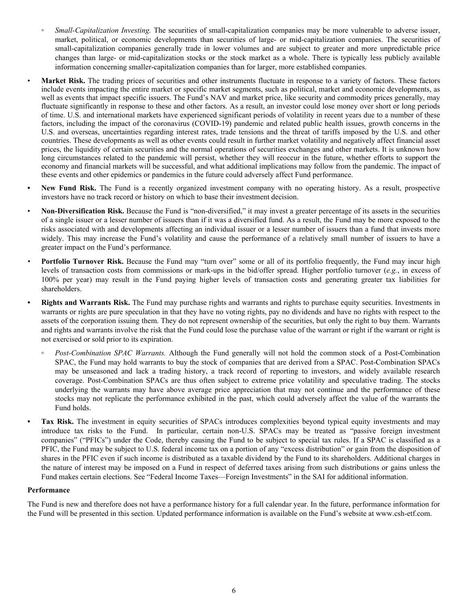- <span id="page-5-0"></span>*Small-Capitalization Investing.* The securities of small-capitalization companies may be more vulnerable to adverse issuer, market, political, or economic developments than securities of large- or mid-capitalization companies. The securities of small-capitalization companies generally trade in lower volumes and are subject to greater and more unpredictable price changes than large- or mid-capitalization stocks or the stock market as a whole. There is typically less publicly available information concerning smaller-capitalization companies than for larger, more established companies.
- Market Risk. The trading prices of securities and other instruments fluctuate in response to a variety of factors. These factors include events impacting the entire market or specific market segments, such as political, market and economic developments, as well as events that impact specific issuers. The Fund's NAV and market price, like security and commodity prices generally, may fluctuate significantly in response to these and other factors. As a result, an investor could lose money over short or long periods of time. U.S. and international markets have experienced significant periods of volatility in recent years due to a number of these factors, including the impact of the coronavirus (COVID-19) pandemic and related public health issues, growth concerns in the U.S. and overseas, uncertainties regarding interest rates, trade tensions and the threat of tariffs imposed by the U.S. and other countries. These developments as well as other events could result in further market volatility and negatively affect financial asset prices, the liquidity of certain securities and the normal operations of securities exchanges and other markets. It is unknown how long circumstances related to the pandemic will persist, whether they will reoccur in the future, whether efforts to support the economy and financial markets will be successful, and what additional implications may follow from the pandemic. The impact of these events and other epidemics or pandemics in the future could adversely affect Fund performance.
- **• New Fund Risk.** The Fund is a recently organized investment company with no operating history. As a result, prospective investors have no track record or history on which to base their investment decision.
- **Non-Diversification Risk.** Because the Fund is "non-diversified," it may invest a greater percentage of its assets in the securities of a single issuer or a lesser number of issuers than if it was a diversified fund. As a result, the Fund may be more exposed to the risks associated with and developments affecting an individual issuer or a lesser number of issuers than a fund that invests more widely. This may increase the Fund's volatility and cause the performance of a relatively small number of issuers to have a greater impact on the Fund's performance.
- **Portfolio Turnover Risk.** Because the Fund may "turn over" some or all of its portfolio frequently, the Fund may incur high levels of transaction costs from commissions or mark-ups in the bid/offer spread. Higher portfolio turnover (*e.g.*, in excess of 100% per year) may result in the Fund paying higher levels of transaction costs and generating greater tax liabilities for shareholders.
- **Rights and Warrants Risk.** The Fund may purchase rights and warrants and rights to purchase equity securities. Investments in warrants or rights are pure speculation in that they have no voting rights, pay no dividends and have no rights with respect to the assets of the corporation issuing them. They do not represent ownership of the securities, but only the right to buy them. Warrants and rights and warrants involve the risk that the Fund could lose the purchase value of the warrant or right if the warrant or right is not exercised or sold prior to its expiration.
	- *Post-Combination SPAC Warrants.* Although the Fund generally will not hold the common stock of a Post-Combination SPAC, the Fund may hold warrants to buy the stock of companies that are derived from a SPAC. Post-Combination SPACs may be unseasoned and lack a trading history, a track record of reporting to investors, and widely available research coverage. Post-Combination SPACs are thus often subject to extreme price volatility and speculative trading. The stocks underlying the warrants may have above average price appreciation that may not continue and the performance of these stocks may not replicate the performance exhibited in the past, which could adversely affect the value of the warrants the Fund holds.
	- **• Tax Risk.** The investment in equity securities of SPACs introduces complexities beyond typical equity investments and may introduce tax risks to the Fund. In particular, certain non-U.S. SPACs may be treated as "passive foreign investment companies" ("PFICs") under the Code, thereby causing the Fund to be subject to special tax rules. If a SPAC is classified as a PFIC, the Fund may be subject to U.S. federal income tax on a portion of any "excess distribution" or gain from the disposition of shares in the PFIC even if such income is distributed as a taxable dividend by the Fund to its shareholders. Additional charges in the nature of interest may be imposed on a Fund in respect of deferred taxes arising from such distributions or gains unless the Fund makes certain elections. See "Federal Income Taxes—Foreign Investments" in the SAI for additional information.

## **Performance**

The Fund is new and therefore does not have a performance history for a full calendar year. In the future, performance information for the Fund will be presented in this section. Updated performance information is available on the Fund's website at www.csh-etf.com.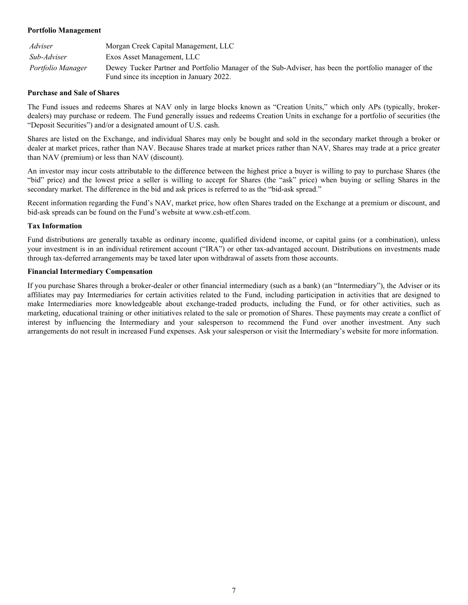## <span id="page-6-0"></span>**Portfolio Management**

| Adviser           | Morgan Creek Capital Management, LLC                                                                                                              |
|-------------------|---------------------------------------------------------------------------------------------------------------------------------------------------|
| Sub-Adviser       | Exos Asset Management, LLC                                                                                                                        |
| Portfolio Manager | Dewey Tucker Partner and Portfolio Manager of the Sub-Adviser, has been the portfolio manager of the<br>Fund since its inception in January 2022. |

#### **Purchase and Sale of Shares**

The Fund issues and redeems Shares at NAV only in large blocks known as "Creation Units," which only APs (typically, brokerdealers) may purchase or redeem. The Fund generally issues and redeems Creation Units in exchange for a portfolio of securities (the "Deposit Securities") and/or a designated amount of U.S. cash.

Shares are listed on the Exchange, and individual Shares may only be bought and sold in the secondary market through a broker or dealer at market prices, rather than NAV. Because Shares trade at market prices rather than NAV, Shares may trade at a price greater than NAV (premium) or less than NAV (discount).

An investor may incur costs attributable to the difference between the highest price a buyer is willing to pay to purchase Shares (the "bid" price) and the lowest price a seller is willing to accept for Shares (the "ask" price) when buying or selling Shares in the secondary market. The difference in the bid and ask prices is referred to as the "bid-ask spread."

Recent information regarding the Fund's NAV, market price, how often Shares traded on the Exchange at a premium or discount, and bid-ask spreads can be found on the Fund's website at www.csh-etf.com.

#### **Tax Information**

Fund distributions are generally taxable as ordinary income, qualified dividend income, or capital gains (or a combination), unless your investment is in an individual retirement account ("IRA") or other tax-advantaged account. Distributions on investments made through tax-deferred arrangements may be taxed later upon withdrawal of assets from those accounts.

#### **Financial Intermediary Compensation**

If you purchase Shares through a broker-dealer or other financial intermediary (such as a bank) (an "Intermediary"), the Adviser or its affiliates may pay Intermediaries for certain activities related to the Fund, including participation in activities that are designed to make Intermediaries more knowledgeable about exchange-traded products, including the Fund, or for other activities, such as marketing, educational training or other initiatives related to the sale or promotion of Shares. These payments may create a conflict of interest by influencing the Intermediary and your salesperson to recommend the Fund over another investment. Any such arrangements do not result in increased Fund expenses. Ask your salesperson or visit the Intermediary's website for more information.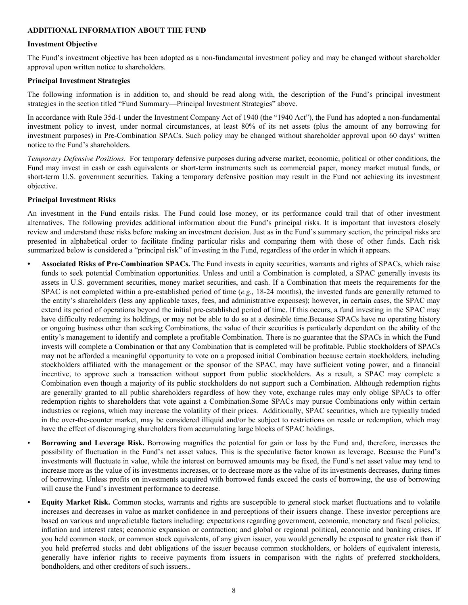#### <span id="page-7-0"></span>**ADDITIONAL INFORMATION ABOUT THE FUND**

#### **Investment Objective**

The Fund's investment objective has been adopted as a non-fundamental investment policy and may be changed without shareholder approval upon written notice to shareholders.

#### **Principal Investment Strategies**

The following information is in addition to, and should be read along with, the description of the Fund's principal investment strategies in the section titled "Fund Summary—Principal Investment Strategies" above.

In accordance with Rule 35d-1 under the Investment Company Act of 1940 (the "1940 Act"), the Fund has adopted a non-fundamental investment policy to invest, under normal circumstances, at least 80% of its net assets (plus the amount of any borrowing for investment purposes) in Pre-Combination SPACs. Such policy may be changed without shareholder approval upon 60 days' written notice to the Fund's shareholders.

*Temporary Defensive Positions.* For temporary defensive purposes during adverse market, economic, political or other conditions, the Fund may invest in cash or cash equivalents or short-term instruments such as commercial paper, money market mutual funds, or short-term U.S. government securities. Taking a temporary defensive position may result in the Fund not achieving its investment objective.

#### **Principal Investment Risks**

An investment in the Fund entails risks. The Fund could lose money, or its performance could trail that of other investment alternatives. The following provides additional information about the Fund's principal risks. It is important that investors closely review and understand these risks before making an investment decision. Just as in the Fund's summary section, the principal risks are presented in alphabetical order to facilitate finding particular risks and comparing them with those of other funds. Each risk summarized below is considered a "principal risk" of investing in the Fund, regardless of the order in which it appears.

- **• Associated Risks of Pre-Combination SPACs.** The Fund invests in equity securities, warrants and rights of SPACs, which raise funds to seek potential Combination opportunities. Unless and until a Combination is completed, a SPAC generally invests its assets in U.S. government securities, money market securities, and cash. If a Combination that meets the requirements for the SPAC is not completed within a pre-established period of time (*e.g.,* 18-24 months), the invested funds are generally returned to the entity's shareholders (less any applicable taxes, fees, and administrative expenses); however, in certain cases, the SPAC may extend its period of operations beyond the initial pre-established period of time. If this occurs, a fund investing in the SPAC may have difficulty redeeming its holdings, or may not be able to do so at a desirable time.Because SPACs have no operating history or ongoing business other than seeking Combinations, the value of their securities is particularly dependent on the ability of the entity's management to identify and complete a profitable Combination. There is no guarantee that the SPACs in which the Fund invests will complete a Combination or that any Combination that is completed will be profitable. Public stockholders of SPACs may not be afforded a meaningful opportunity to vote on a proposed initial Combination because certain stockholders, including stockholders affiliated with the management or the sponsor of the SPAC, may have sufficient voting power, and a financial incentive, to approve such a transaction without support from public stockholders. As a result, a SPAC may complete a Combination even though a majority of its public stockholders do not support such a Combination. Although redemption rights are generally granted to all public shareholders regardless of how they vote, exchange rules may only oblige SPACs to offer redemption rights to shareholders that vote against a Combination.Some SPACs may pursue Combinations only within certain industries or regions, which may increase the volatility of their prices. Additionally, SPAC securities, which are typically traded in the over-the-counter market, may be considered illiquid and/or be subject to restrictions on resale or redemption, which may have the effect of discouraging shareholders from accumulating large blocks of SPAC holdings.
- **Borrowing and Leverage Risk.** Borrowing magnifies the potential for gain or loss by the Fund and, therefore, increases the possibility of fluctuation in the Fund's net asset values. This is the speculative factor known as leverage. Because the Fund's investments will fluctuate in value, while the interest on borrowed amounts may be fixed, the Fund's net asset value may tend to increase more as the value of its investments increases, or to decrease more as the value of its investments decreases, during times of borrowing. Unless profits on investments acquired with borrowed funds exceed the costs of borrowing, the use of borrowing will cause the Fund's investment performance to decrease.
- **• Equity Market Risk.** Common stocks, warrants and rights are susceptible to general stock market fluctuations and to volatile increases and decreases in value as market confidence in and perceptions of their issuers change. These investor perceptions are based on various and unpredictable factors including: expectations regarding government, economic, monetary and fiscal policies; inflation and interest rates; economic expansion or contraction; and global or regional political, economic and banking crises. If you held common stock, or common stock equivalents, of any given issuer, you would generally be exposed to greater risk than if you held preferred stocks and debt obligations of the issuer because common stockholders, or holders of equivalent interests, generally have inferior rights to receive payments from issuers in comparison with the rights of preferred stockholders, bondholders, and other creditors of such issuers..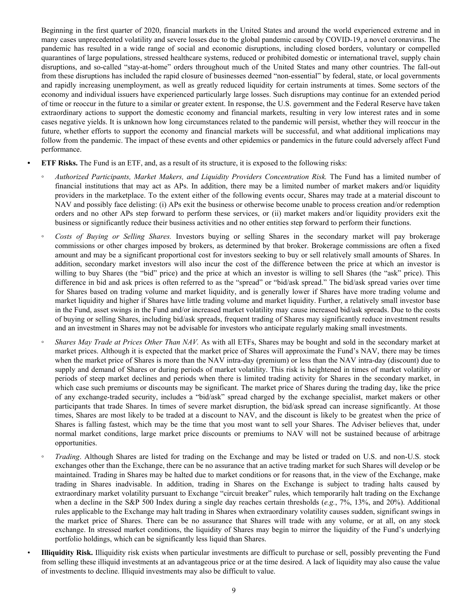Beginning in the first quarter of 2020, financial markets in the United States and around the world experienced extreme and in many cases unprecedented volatility and severe losses due to the global pandemic caused by COVID-19, a novel coronavirus. The pandemic has resulted in a wide range of social and economic disruptions, including closed borders, voluntary or compelled quarantines of large populations, stressed healthcare systems, reduced or prohibited domestic or international travel, supply chain disruptions, and so-called "stay-at-home" orders throughout much of the United States and many other countries. The fall-out from these disruptions has included the rapid closure of businesses deemed "non-essential" by federal, state, or local governments and rapidly increasing unemployment, as well as greatly reduced liquidity for certain instruments at times. Some sectors of the economy and individual issuers have experienced particularly large losses. Such disruptions may continue for an extended period of time or reoccur in the future to a similar or greater extent. In response, the U.S. government and the Federal Reserve have taken extraordinary actions to support the domestic economy and financial markets, resulting in very low interest rates and in some cases negative yields. It is unknown how long circumstances related to the pandemic will persist, whether they will reoccur in the future, whether efforts to support the economy and financial markets will be successful, and what additional implications may follow from the pandemic. The impact of these events and other epidemics or pandemics in the future could adversely affect Fund performance.

**• ETF Risks.** The Fund is an ETF, and, as a result of its structure, it is exposed to the following risks:

- *◦ Authorized Participants, Market Makers, and Liquidity Providers Concentration Risk.* The Fund has a limited number of financial institutions that may act as APs. In addition, there may be a limited number of market makers and/or liquidity providers in the marketplace. To the extent either of the following events occur, Shares may trade at a material discount to NAV and possibly face delisting: (i) APs exit the business or otherwise become unable to process creation and/or redemption orders and no other APs step forward to perform these services, or (ii) market makers and/or liquidity providers exit the business or significantly reduce their business activities and no other entities step forward to perform their functions.
- *◦ Costs of Buying or Selling Shares.* Investors buying or selling Shares in the secondary market will pay brokerage commissions or other charges imposed by brokers, as determined by that broker. Brokerage commissions are often a fixed amount and may be a significant proportional cost for investors seeking to buy or sell relatively small amounts of Shares. In addition, secondary market investors will also incur the cost of the difference between the price at which an investor is willing to buy Shares (the "bid" price) and the price at which an investor is willing to sell Shares (the "ask" price). This difference in bid and ask prices is often referred to as the "spread" or "bid/ask spread." The bid/ask spread varies over time for Shares based on trading volume and market liquidity, and is generally lower if Shares have more trading volume and market liquidity and higher if Shares have little trading volume and market liquidity. Further, a relatively small investor base in the Fund, asset swings in the Fund and/or increased market volatility may cause increased bid/ask spreads. Due to the costs of buying or selling Shares, including bid/ask spreads, frequent trading of Shares may significantly reduce investment results and an investment in Shares may not be advisable for investors who anticipate regularly making small investments.
- *Shares May Trade at Prices Other Than NAV.* As with all ETFs, Shares may be bought and sold in the secondary market at market prices. Although it is expected that the market price of Shares will approximate the Fund's NAV, there may be times when the market price of Shares is more than the NAV intra-day (premium) or less than the NAV intra-day (discount) due to supply and demand of Shares or during periods of market volatility. This risk is heightened in times of market volatility or periods of steep market declines and periods when there is limited trading activity for Shares in the secondary market, in which case such premiums or discounts may be significant. The market price of Shares during the trading day, like the price of any exchange-traded security, includes a "bid/ask" spread charged by the exchange specialist, market makers or other participants that trade Shares. In times of severe market disruption, the bid/ask spread can increase significantly. At those times, Shares are most likely to be traded at a discount to NAV, and the discount is likely to be greatest when the price of Shares is falling fastest, which may be the time that you most want to sell your Shares. The Adviser believes that, under normal market conditions, large market price discounts or premiums to NAV will not be sustained because of arbitrage opportunities.
- *Trading*. Although Shares are listed for trading on the Exchange and may be listed or traded on U.S. and non-U.S. stock exchanges other than the Exchange, there can be no assurance that an active trading market for such Shares will develop or be maintained. Trading in Shares may be halted due to market conditions or for reasons that, in the view of the Exchange, make trading in Shares inadvisable. In addition, trading in Shares on the Exchange is subject to trading halts caused by extraordinary market volatility pursuant to Exchange "circuit breaker" rules, which temporarily halt trading on the Exchange when a decline in the S&P 500 Index during a single day reaches certain thresholds (*e.g.*, 7%, 13%, and 20%). Additional rules applicable to the Exchange may halt trading in Shares when extraordinary volatility causes sudden, significant swings in the market price of Shares. There can be no assurance that Shares will trade with any volume, or at all, on any stock exchange. In stressed market conditions, the liquidity of Shares may begin to mirror the liquidity of the Fund's underlying portfolio holdings, which can be significantly less liquid than Shares.
- **Illiquidity Risk.** Illiquidity risk exists when particular investments are difficult to purchase or sell, possibly preventing the Fund from selling these illiquid investments at an advantageous price or at the time desired. A lack of liquidity may also cause the value of investments to decline. Illiquid investments may also be difficult to value.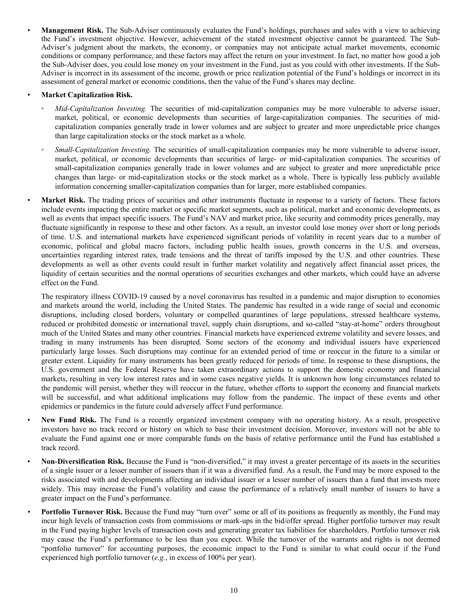**Management Risk.** The Sub-Adviser continuously evaluates the Fund's holdings, purchases and sales with a view to achieving the Fund's investment objective. However, achievement of the stated investment objective cannot be guaranteed. The Sub-Adviser's judgment about the markets, the economy, or companies may not anticipate actual market movements, economic conditions or company performance, and these factors may affect the return on your investment. In fact, no matter how good a job the Sub-Adviser does, you could lose money on your investment in the Fund, just as you could with other investments. If the Sub-Adviser is incorrect in its assessment of the income, growth or price realization potential of the Fund's holdings or incorrect in its assessment of general market or economic conditions, then the value of the Fund's shares may decline.

## • **Market Capitalization Risk.**

- *Mid-Capitalization Investing.* The securities of mid-capitalization companies may be more vulnerable to adverse issuer, market, political, or economic developments than securities of large-capitalization companies. The securities of midcapitalization companies generally trade in lower volumes and are subject to greater and more unpredictable price changes than large capitalization stocks or the stock market as a whole.
- *Small-Capitalization Investing.* The securities of small-capitalization companies may be more vulnerable to adverse issuer, market, political, or economic developments than securities of large- or mid-capitalization companies. The securities of small-capitalization companies generally trade in lower volumes and are subject to greater and more unpredictable price changes than large- or mid-capitalization stocks or the stock market as a whole. There is typically less publicly available information concerning smaller-capitalization companies than for larger, more established companies.

Market Risk. The trading prices of securities and other instruments fluctuate in response to a variety of factors. These factors include events impacting the entire market or specific market segments, such as political, market and economic developments, as well as events that impact specific issuers. The Fund's NAV and market price, like security and commodity prices generally, may fluctuate significantly in response to these and other factors. As a result, an investor could lose money over short or long periods of time. U.S. and international markets have experienced significant periods of volatility in recent years due to a number of economic, political and global macro factors, including public health issues, growth concerns in the U.S. and overseas, uncertainties regarding interest rates, trade tensions and the threat of tariffs imposed by the U.S. and other countries. These developments as well as other events could result in further market volatility and negatively affect financial asset prices, the liquidity of certain securities and the normal operations of securities exchanges and other markets, which could have an adverse effect on the Fund.

The respiratory illness COVID-19 caused by a novel coronavirus has resulted in a pandemic and major disruption to economies and markets around the world, including the United States. The pandemic has resulted in a wide range of social and economic disruptions, including closed borders, voluntary or compelled quarantines of large populations, stressed healthcare systems, reduced or prohibited domestic or international travel, supply chain disruptions, and so-called "stay-at-home" orders throughout much of the United States and many other countries. Financial markets have experienced extreme volatility and severe losses, and trading in many instruments has been disrupted. Some sectors of the economy and individual issuers have experienced particularly large losses. Such disruptions may continue for an extended period of time or reoccur in the future to a similar or greater extent. Liquidity for many instruments has been greatly reduced for periods of time. In response to these disruptions, the U.S. government and the Federal Reserve have taken extraordinary actions to support the domestic economy and financial markets, resulting in very low interest rates and in some cases negative yields. It is unknown how long circumstances related to the pandemic will persist, whether they will reoccur in the future, whether efforts to support the economy and financial markets will be successful, and what additional implications may follow from the pandemic. The impact of these events and other epidemics or pandemics in the future could adversely affect Fund performance.

- **New Fund Risk.** The Fund is a recently organized investment company with no operating history. As a result, prospective investors have no track record or history on which to base their investment decision. Moreover, investors will not be able to evaluate the Fund against one or more comparable funds on the basis of relative performance until the Fund has established a track record.
- **Non-Diversification Risk.** Because the Fund is "non-diversified," it may invest a greater percentage of its assets in the securities of a single issuer or a lesser number of issuers than if it was a diversified fund. As a result, the Fund may be more exposed to the risks associated with and developments affecting an individual issuer or a lesser number of issuers than a fund that invests more widely. This may increase the Fund's volatility and cause the performance of a relatively small number of issuers to have a greater impact on the Fund's performance.
- **Portfolio Turnover Risk.** Because the Fund may "turn over" some or all of its positions as frequently as monthly, the Fund may incur high levels of transaction costs from commissions or mark-ups in the bid/offer spread. Higher portfolio turnover may result in the Fund paying higher levels of transaction costs and generating greater tax liabilities for shareholders. Portfolio turnover risk may cause the Fund's performance to be less than you expect. While the turnover of the warrants and rights is not deemed "portfolio turnover" for accounting purposes, the economic impact to the Fund is similar to what could occur if the Fund experienced high portfolio turnover (*e.g.*, in excess of 100% per year).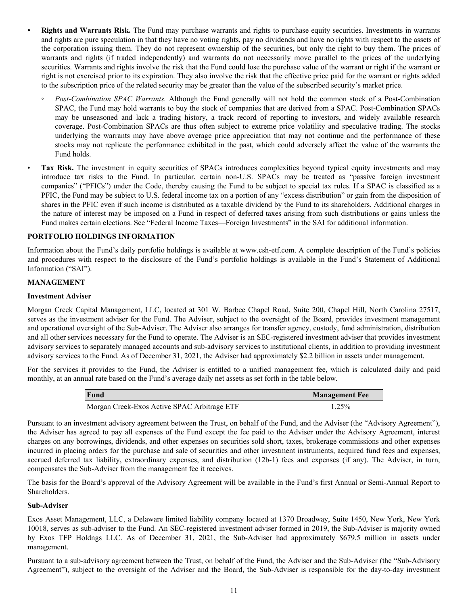- <span id="page-10-0"></span>*•* **Rights and Warrants Risk.** The Fund may purchase warrants and rights to purchase equity securities. Investments in warrants and rights are pure speculation in that they have no voting rights, pay no dividends and have no rights with respect to the assets of the corporation issuing them. They do not represent ownership of the securities, but only the right to buy them. The prices of warrants and rights (if traded independently) and warrants do not necessarily move parallel to the prices of the underlying securities. Warrants and rights involve the risk that the Fund could lose the purchase value of the warrant or right if the warrant or right is not exercised prior to its expiration. They also involve the risk that the effective price paid for the warrant or rights added to the subscription price of the related security may be greater than the value of the subscribed security's market price.
	- *Post-Combination SPAC Warrants.* Although the Fund generally will not hold the common stock of a Post-Combination SPAC, the Fund may hold warrants to buy the stock of companies that are derived from a SPAC. Post-Combination SPACs may be unseasoned and lack a trading history, a track record of reporting to investors, and widely available research coverage. Post-Combination SPACs are thus often subject to extreme price volatility and speculative trading. The stocks underlying the warrants may have above average price appreciation that may not continue and the performance of these stocks may not replicate the performance exhibited in the past, which could adversely affect the value of the warrants the Fund holds.
- Tax Risk. The investment in equity securities of SPACs introduces complexities beyond typical equity investments and may introduce tax risks to the Fund. In particular, certain non-U.S. SPACs may be treated as "passive foreign investment companies" ("PFICs") under the Code, thereby causing the Fund to be subject to special tax rules. If a SPAC is classified as a PFIC, the Fund may be subject to U.S. federal income tax on a portion of any "excess distribution" or gain from the disposition of shares in the PFIC even if such income is distributed as a taxable dividend by the Fund to its shareholders. Additional charges in the nature of interest may be imposed on a Fund in respect of deferred taxes arising from such distributions or gains unless the Fund makes certain elections. See "Federal Income Taxes—Foreign Investments" in the SAI for additional information.

## **PORTFOLIO HOLDINGS INFORMATION**

Information about the Fund's daily portfolio holdings is available at www.csh-etf.com. A complete description of the Fund's policies and procedures with respect to the disclosure of the Fund's portfolio holdings is available in the Fund's Statement of Additional Information ("SAI").

#### **MANAGEMENT**

#### **Investment Adviser**

Morgan Creek Capital Management, LLC, located at 301 W. Barbee Chapel Road, Suite 200, Chapel Hill, North Carolina 27517, serves as the investment adviser for the Fund. The Adviser, subject to the oversight of the Board, provides investment management and operational oversight of the Sub-Adviser. The Adviser also arranges for transfer agency, custody, fund administration, distribution and all other services necessary for the Fund to operate. The Adviser is an SEC-registered investment adviser that provides investment advisory services to separately managed accounts and sub-advisory services to institutional clients, in addition to providing investment advisory services to the Fund. As of December 31, 2021, the Adviser had approximately \$2.2 billion in assets under management.

For the services it provides to the Fund, the Adviser is entitled to a unified management fee, which is calculated daily and paid monthly, at an annual rate based on the Fund's average daily net assets as set forth in the table below.

| Fund                                        | <b>Management Fee</b> |
|---------------------------------------------|-----------------------|
| Morgan Creek-Exos Active SPAC Arbitrage ETF | $1.25\%$              |

Pursuant to an investment advisory agreement between the Trust, on behalf of the Fund, and the Adviser (the "Advisory Agreement"), the Adviser has agreed to pay all expenses of the Fund except the fee paid to the Adviser under the Advisory Agreement, interest charges on any borrowings, dividends, and other expenses on securities sold short, taxes, brokerage commissions and other expenses incurred in placing orders for the purchase and sale of securities and other investment instruments, acquired fund fees and expenses, accrued deferred tax liability, extraordinary expenses, and distribution (12b-1) fees and expenses (if any). The Adviser, in turn, compensates the Sub-Adviser from the management fee it receives.

The basis for the Board's approval of the Advisory Agreement will be available in the Fund's first Annual or Semi-Annual Report to Shareholders.

#### **Sub-Adviser**

Exos Asset Management, LLC, a Delaware limited liability company located at 1370 Broadway, Suite 1450, New York, New York 10018, serves as sub-adviser to the Fund. An SEC-registered investment adviser formed in 2019, the Sub-Adviser is majority owned by Exos TFP Holdngs LLC. As of December 31, 2021, the Sub-Adviser had approximately \$679.5 million in assets under management.

Pursuant to a sub-advisory agreement between the Trust, on behalf of the Fund, the Adviser and the Sub-Adviser (the "Sub-Advisory Agreement"), subject to the oversight of the Adviser and the Board, the Sub-Adviser is responsible for the day-to-day investment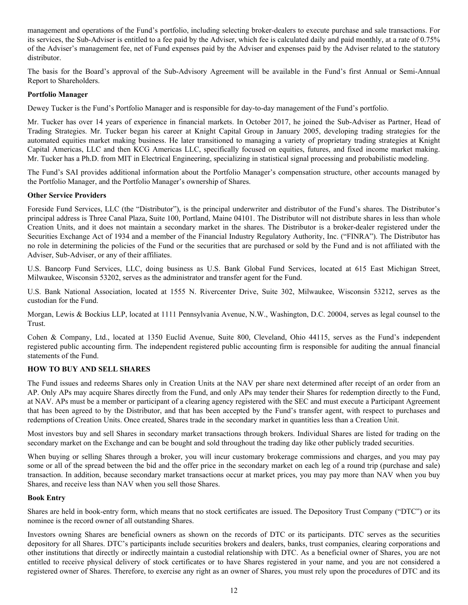<span id="page-11-0"></span>management and operations of the Fund's portfolio, including selecting broker-dealers to execute purchase and sale transactions. For its services, the Sub-Adviser is entitled to a fee paid by the Adviser, which fee is calculated daily and paid monthly, at a rate of 0.75% of the Adviser's management fee, net of Fund expenses paid by the Adviser and expenses paid by the Adviser related to the statutory distributor.

The basis for the Board's approval of the Sub-Advisory Agreement will be available in the Fund's first Annual or Semi-Annual Report to Shareholders.

## **Portfolio Manager**

Dewey Tucker is the Fund's Portfolio Manager and is responsible for day-to-day management of the Fund's portfolio.

Mr. Tucker has over 14 years of experience in financial markets. In October 2017, he joined the Sub-Adviser as Partner, Head of Trading Strategies. Mr. Tucker began his career at Knight Capital Group in January 2005, developing trading strategies for the automated equities market making business. He later transitioned to managing a variety of proprietary trading strategies at Knight Capital Americas, LLC and then KCG Americas LLC, specifically focused on equities, futures, and fixed income market making. Mr. Tucker has a Ph.D. from MIT in Electrical Engineering, specializing in statistical signal processing and probabilistic modeling.

The Fund's SAI provides additional information about the Portfolio Manager's compensation structure, other accounts managed by the Portfolio Manager, and the Portfolio Manager's ownership of Shares.

## **Other Service Providers**

Foreside Fund Services, LLC (the "Distributor"), is the principal underwriter and distributor of the Fund's shares. The Distributor's principal address is Three Canal Plaza, Suite 100, Portland, Maine 04101. The Distributor will not distribute shares in less than whole Creation Units, and it does not maintain a secondary market in the shares. The Distributor is a broker-dealer registered under the Securities Exchange Act of 1934 and a member of the Financial Industry Regulatory Authority, Inc. ("FINRA"). The Distributor has no role in determining the policies of the Fund or the securities that are purchased or sold by the Fund and is not affiliated with the Adviser, Sub-Adviser, or any of their affiliates.

U.S. Bancorp Fund Services, LLC, doing business as U.S. Bank Global Fund Services, located at 615 East Michigan Street, Milwaukee, Wisconsin 53202, serves as the administrator and transfer agent for the Fund.

U.S. Bank National Association, located at 1555 N. Rivercenter Drive, Suite 302, Milwaukee, Wisconsin 53212, serves as the custodian for the Fund.

Morgan, Lewis & Bockius LLP, located at 1111 Pennsylvania Avenue, N.W., Washington, D.C. 20004, serves as legal counsel to the Trust.

Cohen & Company, Ltd., located at 1350 Euclid Avenue, Suite 800, Cleveland, Ohio 44115, serves as the Fund's independent registered public accounting firm. The independent registered public accounting firm is responsible for auditing the annual financial statements of the Fund.

## **HOW TO BUY AND SELL SHARES**

The Fund issues and redeems Shares only in Creation Units at the NAV per share next determined after receipt of an order from an AP. Only APs may acquire Shares directly from the Fund, and only APs may tender their Shares for redemption directly to the Fund, at NAV. APs must be a member or participant of a clearing agency registered with the SEC and must execute a Participant Agreement that has been agreed to by the Distributor, and that has been accepted by the Fund's transfer agent, with respect to purchases and redemptions of Creation Units. Once created, Shares trade in the secondary market in quantities less than a Creation Unit.

Most investors buy and sell Shares in secondary market transactions through brokers. Individual Shares are listed for trading on the secondary market on the Exchange and can be bought and sold throughout the trading day like other publicly traded securities.

When buying or selling Shares through a broker, you will incur customary brokerage commissions and charges, and you may pay some or all of the spread between the bid and the offer price in the secondary market on each leg of a round trip (purchase and sale) transaction. In addition, because secondary market transactions occur at market prices, you may pay more than NAV when you buy Shares, and receive less than NAV when you sell those Shares.

## **Book Entry**

Shares are held in book-entry form, which means that no stock certificates are issued. The Depository Trust Company ("DTC") or its nominee is the record owner of all outstanding Shares.

Investors owning Shares are beneficial owners as shown on the records of DTC or its participants. DTC serves as the securities depository for all Shares. DTC's participants include securities brokers and dealers, banks, trust companies, clearing corporations and other institutions that directly or indirectly maintain a custodial relationship with DTC. As a beneficial owner of Shares, you are not entitled to receive physical delivery of stock certificates or to have Shares registered in your name, and you are not considered a registered owner of Shares. Therefore, to exercise any right as an owner of Shares, you must rely upon the procedures of DTC and its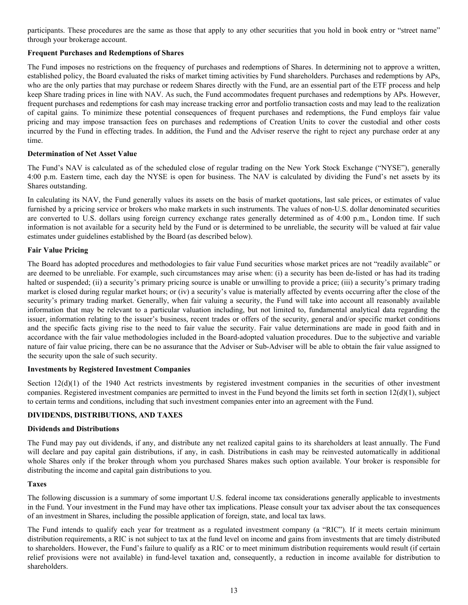<span id="page-12-0"></span>participants. These procedures are the same as those that apply to any other securities that you hold in book entry or "street name" through your brokerage account.

## **Frequent Purchases and Redemptions of Shares**

The Fund imposes no restrictions on the frequency of purchases and redemptions of Shares. In determining not to approve a written, established policy, the Board evaluated the risks of market timing activities by Fund shareholders. Purchases and redemptions by APs, who are the only parties that may purchase or redeem Shares directly with the Fund, are an essential part of the ETF process and help keep Share trading prices in line with NAV. As such, the Fund accommodates frequent purchases and redemptions by APs. However, frequent purchases and redemptions for cash may increase tracking error and portfolio transaction costs and may lead to the realization of capital gains. To minimize these potential consequences of frequent purchases and redemptions, the Fund employs fair value pricing and may impose transaction fees on purchases and redemptions of Creation Units to cover the custodial and other costs incurred by the Fund in effecting trades. In addition, the Fund and the Adviser reserve the right to reject any purchase order at any time.

#### **Determination of Net Asset Value**

The Fund's NAV is calculated as of the scheduled close of regular trading on the New York Stock Exchange ("NYSE"), generally 4:00 p.m. Eastern time, each day the NYSE is open for business. The NAV is calculated by dividing the Fund's net assets by its Shares outstanding.

In calculating its NAV, the Fund generally values its assets on the basis of market quotations, last sale prices, or estimates of value furnished by a pricing service or brokers who make markets in such instruments. The values of non-U.S. dollar denominated securities are converted to U.S. dollars using foreign currency exchange rates generally determined as of 4:00 p.m., London time. If such information is not available for a security held by the Fund or is determined to be unreliable, the security will be valued at fair value estimates under guidelines established by the Board (as described below).

#### **Fair Value Pricing**

The Board has adopted procedures and methodologies to fair value Fund securities whose market prices are not "readily available" or are deemed to be unreliable. For example, such circumstances may arise when: (i) a security has been de-listed or has had its trading halted or suspended; (ii) a security's primary pricing source is unable or unwilling to provide a price; (iii) a security's primary trading market is closed during regular market hours; or (iv) a security's value is materially affected by events occurring after the close of the security's primary trading market. Generally, when fair valuing a security, the Fund will take into account all reasonably available information that may be relevant to a particular valuation including, but not limited to, fundamental analytical data regarding the issuer, information relating to the issuer's business, recent trades or offers of the security, general and/or specific market conditions and the specific facts giving rise to the need to fair value the security. Fair value determinations are made in good faith and in accordance with the fair value methodologies included in the Board-adopted valuation procedures. Due to the subjective and variable nature of fair value pricing, there can be no assurance that the Adviser or Sub-Adviser will be able to obtain the fair value assigned to the security upon the sale of such security.

## **Investments by Registered Investment Companies**

Section  $12(d)(1)$  of the 1940 Act restricts investments by registered investment companies in the securities of other investment companies. Registered investment companies are permitted to invest in the Fund beyond the limits set forth in section  $12(d)(1)$ , subject to certain terms and conditions, including that such investment companies enter into an agreement with the Fund.

## **DIVIDENDS, DISTRIBUTIONS, AND TAXES**

#### **Dividends and Distributions**

The Fund may pay out dividends, if any, and distribute any net realized capital gains to its shareholders at least annually. The Fund will declare and pay capital gain distributions, if any, in cash. Distributions in cash may be reinvested automatically in additional whole Shares only if the broker through whom you purchased Shares makes such option available. Your broker is responsible for distributing the income and capital gain distributions to you.

#### **Taxes**

The following discussion is a summary of some important U.S. federal income tax considerations generally applicable to investments in the Fund. Your investment in the Fund may have other tax implications. Please consult your tax adviser about the tax consequences of an investment in Shares, including the possible application of foreign, state, and local tax laws.

The Fund intends to qualify each year for treatment as a regulated investment company (a "RIC"). If it meets certain minimum distribution requirements, a RIC is not subject to tax at the fund level on income and gains from investments that are timely distributed to shareholders. However, the Fund's failure to qualify as a RIC or to meet minimum distribution requirements would result (if certain relief provisions were not available) in fund-level taxation and, consequently, a reduction in income available for distribution to shareholders.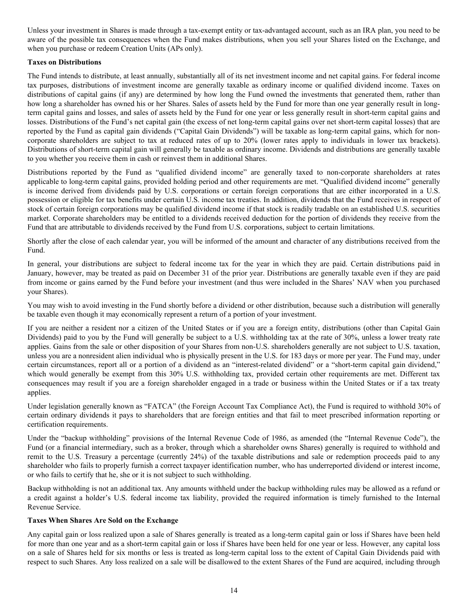<span id="page-13-0"></span>Unless your investment in Shares is made through a tax-exempt entity or tax-advantaged account, such as an IRA plan, you need to be aware of the possible tax consequences when the Fund makes distributions, when you sell your Shares listed on the Exchange, and when you purchase or redeem Creation Units (APs only).

## **Taxes on Distributions**

The Fund intends to distribute, at least annually, substantially all of its net investment income and net capital gains. For federal income tax purposes, distributions of investment income are generally taxable as ordinary income or qualified dividend income. Taxes on distributions of capital gains (if any) are determined by how long the Fund owned the investments that generated them, rather than how long a shareholder has owned his or her Shares. Sales of assets held by the Fund for more than one year generally result in longterm capital gains and losses, and sales of assets held by the Fund for one year or less generally result in short-term capital gains and losses. Distributions of the Fund's net capital gain (the excess of net long-term capital gains over net short-term capital losses) that are reported by the Fund as capital gain dividends ("Capital Gain Dividends") will be taxable as long-term capital gains, which for noncorporate shareholders are subject to tax at reduced rates of up to 20% (lower rates apply to individuals in lower tax brackets). Distributions of short-term capital gain will generally be taxable as ordinary income. Dividends and distributions are generally taxable to you whether you receive them in cash or reinvest them in additional Shares.

Distributions reported by the Fund as "qualified dividend income" are generally taxed to non-corporate shareholders at rates applicable to long-term capital gains, provided holding period and other requirements are met. "Qualified dividend income" generally is income derived from dividends paid by U.S. corporations or certain foreign corporations that are either incorporated in a U.S. possession or eligible for tax benefits under certain U.S. income tax treaties. In addition, dividends that the Fund receives in respect of stock of certain foreign corporations may be qualified dividend income if that stock is readily tradable on an established U.S. securities market. Corporate shareholders may be entitled to a dividends received deduction for the portion of dividends they receive from the Fund that are attributable to dividends received by the Fund from U.S. corporations, subject to certain limitations.

Shortly after the close of each calendar year, you will be informed of the amount and character of any distributions received from the Fund.

In general, your distributions are subject to federal income tax for the year in which they are paid. Certain distributions paid in January, however, may be treated as paid on December 31 of the prior year. Distributions are generally taxable even if they are paid from income or gains earned by the Fund before your investment (and thus were included in the Shares' NAV when you purchased your Shares).

You may wish to avoid investing in the Fund shortly before a dividend or other distribution, because such a distribution will generally be taxable even though it may economically represent a return of a portion of your investment.

If you are neither a resident nor a citizen of the United States or if you are a foreign entity, distributions (other than Capital Gain Dividends) paid to you by the Fund will generally be subject to a U.S. withholding tax at the rate of 30%, unless a lower treaty rate applies. Gains from the sale or other disposition of your Shares from non-U.S. shareholders generally are not subject to U.S. taxation, unless you are a nonresident alien individual who is physically present in the U.S. for 183 days or more per year. The Fund may, under certain circumstances, report all or a portion of a dividend as an "interest-related dividend" or a "short-term capital gain dividend," which would generally be exempt from this 30% U.S. withholding tax, provided certain other requirements are met. Different tax consequences may result if you are a foreign shareholder engaged in a trade or business within the United States or if a tax treaty applies.

Under legislation generally known as "FATCA" (the Foreign Account Tax Compliance Act), the Fund is required to withhold 30% of certain ordinary dividends it pays to shareholders that are foreign entities and that fail to meet prescribed information reporting or certification requirements.

Under the "backup withholding" provisions of the Internal Revenue Code of 1986, as amended (the "Internal Revenue Code"), the Fund (or a financial intermediary, such as a broker, through which a shareholder owns Shares) generally is required to withhold and remit to the U.S. Treasury a percentage (currently 24%) of the taxable distributions and sale or redemption proceeds paid to any shareholder who fails to properly furnish a correct taxpayer identification number, who has underreported dividend or interest income, or who fails to certify that he, she or it is not subject to such withholding.

Backup withholding is not an additional tax. Any amounts withheld under the backup withholding rules may be allowed as a refund or a credit against a holder's U.S. federal income tax liability, provided the required information is timely furnished to the Internal Revenue Service.

## **Taxes When Shares Are Sold on the Exchange**

Any capital gain or loss realized upon a sale of Shares generally is treated as a long-term capital gain or loss if Shares have been held for more than one year and as a short-term capital gain or loss if Shares have been held for one year or less. However, any capital loss on a sale of Shares held for six months or less is treated as long-term capital loss to the extent of Capital Gain Dividends paid with respect to such Shares. Any loss realized on a sale will be disallowed to the extent Shares of the Fund are acquired, including through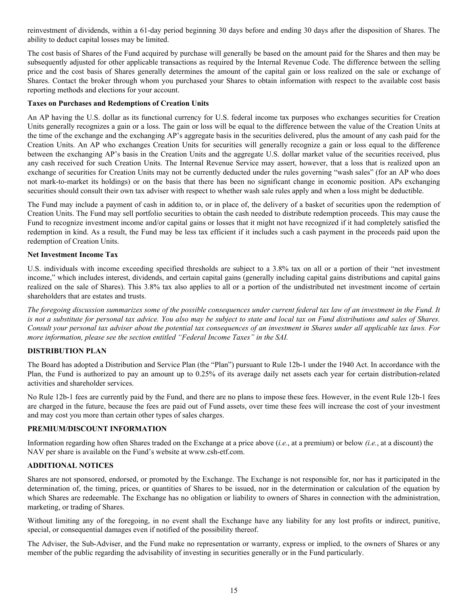<span id="page-14-0"></span>reinvestment of dividends, within a 61-day period beginning 30 days before and ending 30 days after the disposition of Shares. The ability to deduct capital losses may be limited.

The cost basis of Shares of the Fund acquired by purchase will generally be based on the amount paid for the Shares and then may be subsequently adjusted for other applicable transactions as required by the Internal Revenue Code. The difference between the selling price and the cost basis of Shares generally determines the amount of the capital gain or loss realized on the sale or exchange of Shares. Contact the broker through whom you purchased your Shares to obtain information with respect to the available cost basis reporting methods and elections for your account.

## **Taxes on Purchases and Redemptions of Creation Units**

An AP having the U.S. dollar as its functional currency for U.S. federal income tax purposes who exchanges securities for Creation Units generally recognizes a gain or a loss. The gain or loss will be equal to the difference between the value of the Creation Units at the time of the exchange and the exchanging AP's aggregate basis in the securities delivered, plus the amount of any cash paid for the Creation Units. An AP who exchanges Creation Units for securities will generally recognize a gain or loss equal to the difference between the exchanging AP's basis in the Creation Units and the aggregate U.S. dollar market value of the securities received, plus any cash received for such Creation Units. The Internal Revenue Service may assert, however, that a loss that is realized upon an exchange of securities for Creation Units may not be currently deducted under the rules governing "wash sales" (for an AP who does not mark-to-market its holdings) or on the basis that there has been no significant change in economic position. APs exchanging securities should consult their own tax adviser with respect to whether wash sale rules apply and when a loss might be deductible.

The Fund may include a payment of cash in addition to, or in place of, the delivery of a basket of securities upon the redemption of Creation Units. The Fund may sell portfolio securities to obtain the cash needed to distribute redemption proceeds. This may cause the Fund to recognize investment income and/or capital gains or losses that it might not have recognized if it had completely satisfied the redemption in kind. As a result, the Fund may be less tax efficient if it includes such a cash payment in the proceeds paid upon the redemption of Creation Units.

## **Net Investment Income Tax**

U.S. individuals with income exceeding specified thresholds are subject to a 3.8% tax on all or a portion of their "net investment income," which includes interest, dividends, and certain capital gains (generally including capital gains distributions and capital gains realized on the sale of Shares). This 3.8% tax also applies to all or a portion of the undistributed net investment income of certain shareholders that are estates and trusts.

*The foregoing discussion summarizes some of the possible consequences under current federal tax law of an investment in the Fund. It is not a substitute for personal tax advice. You also may be subject to state and local tax on Fund distributions and sales of Shares. Consult your personal tax adviser about the potential tax consequences of an investment in Shares under all applicable tax laws. For more information, please see the section entitled "Federal Income Taxes" in the SAI.*

## **DISTRIBUTION PLAN**

The Board has adopted a Distribution and Service Plan (the "Plan") pursuant to Rule 12b-1 under the 1940 Act. In accordance with the Plan, the Fund is authorized to pay an amount up to 0.25% of its average daily net assets each year for certain distribution-related activities and shareholder services.

No Rule 12b-1 fees are currently paid by the Fund, and there are no plans to impose these fees. However, in the event Rule 12b-1 fees are charged in the future, because the fees are paid out of Fund assets, over time these fees will increase the cost of your investment and may cost you more than certain other types of sales charges.

## **PREMIUM/DISCOUNT INFORMATION**

Information regarding how often Shares traded on the Exchange at a price above (*i.e.*, at a premium) or below *(i.e.*, at a discount) the NAV per share is available on the Fund's website at www.csh-etf.com.

## **ADDITIONAL NOTICES**

Shares are not sponsored, endorsed, or promoted by the Exchange. The Exchange is not responsible for, nor has it participated in the determination of, the timing, prices, or quantities of Shares to be issued, nor in the determination or calculation of the equation by which Shares are redeemable. The Exchange has no obligation or liability to owners of Shares in connection with the administration, marketing, or trading of Shares.

Without limiting any of the foregoing, in no event shall the Exchange have any liability for any lost profits or indirect, punitive, special, or consequential damages even if notified of the possibility thereof.

The Adviser, the Sub-Adviser, and the Fund make no representation or warranty, express or implied, to the owners of Shares or any member of the public regarding the advisability of investing in securities generally or in the Fund particularly.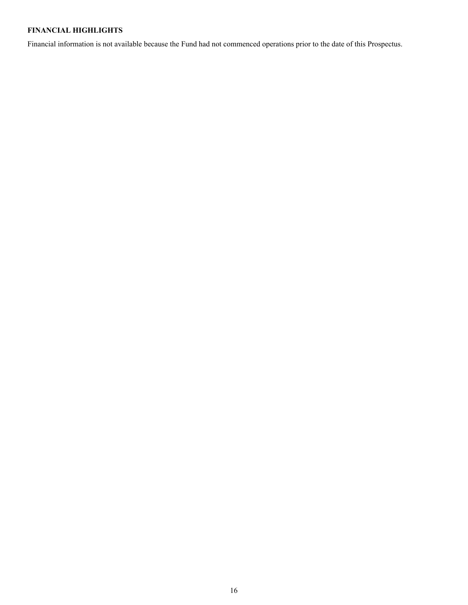## <span id="page-15-0"></span>**FINANCIAL HIGHLIGHTS**

Financial information is not available because the Fund had not commenced operations prior to the date of this Prospectus.